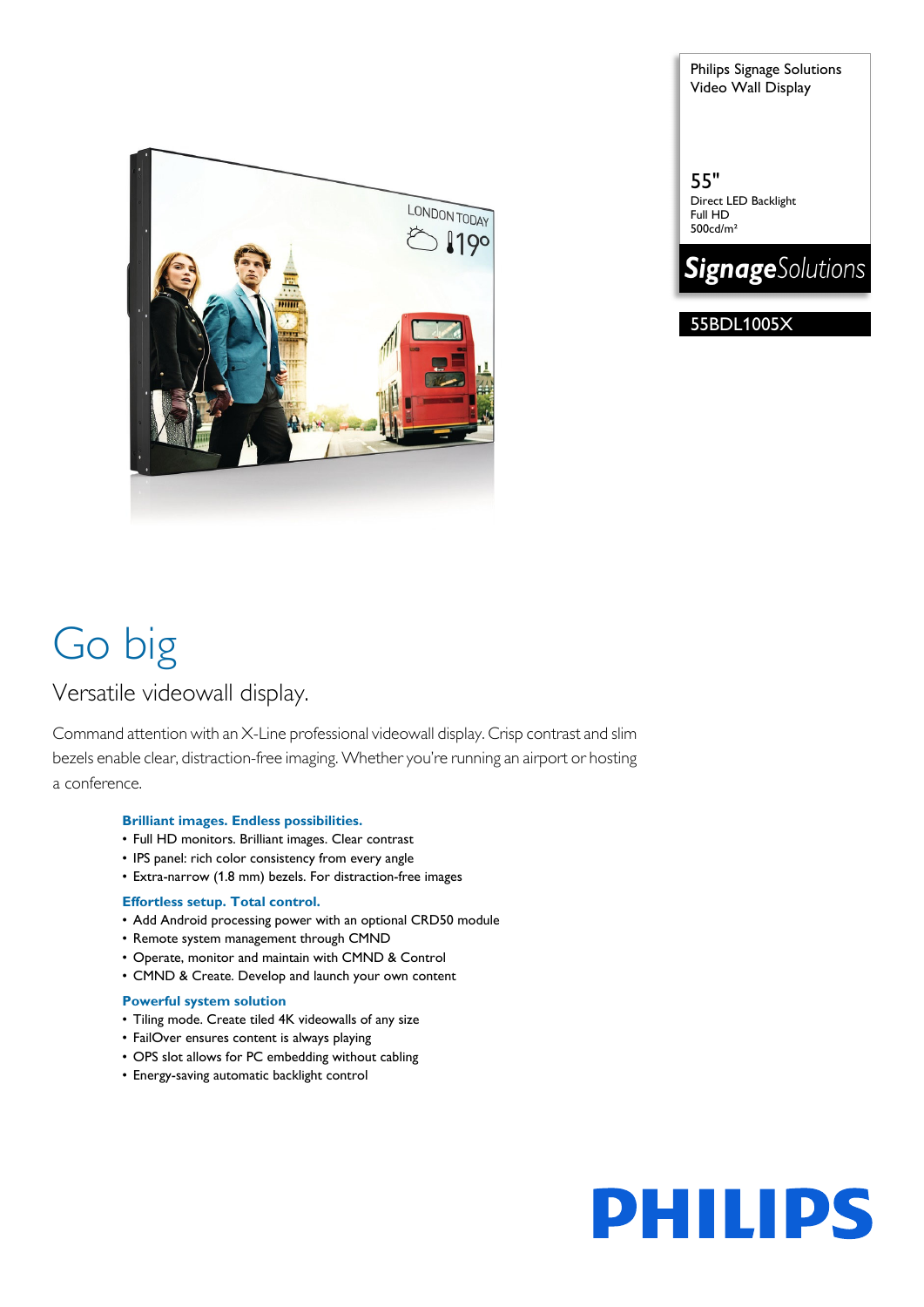

Philips Signage Solutions Video Wall Display

55" Direct LED Backlight Full HD 500cd/m²



55BDL1005X

# Go big

### Versatile videowall display.

Command attention with an X-Line professional videowall display. Crisp contrast and slim bezels enable clear, distraction-free imaging. Whether you're running an airport or hosting a conference.

#### **Brilliant images. Endless possibilities.**

- Full HD monitors. Brilliant images. Clear contrast
- IPS panel: rich color consistency from every angle
- Extra-narrow (1.8 mm) bezels. For distraction-free images

#### **Effortless setup. Total control.**

- Add Android processing power with an optional CRD50 module
- Remote system management through CMND
- Operate, monitor and maintain with CMND & Control
- CMND & Create. Develop and launch your own content

#### **Powerful system solution**

- Tiling mode. Create tiled 4K videowalls of any size
- FailOver ensures content is always playing
- OPS slot allows for PC embedding without cabling
- Energy-saving automatic backlight control

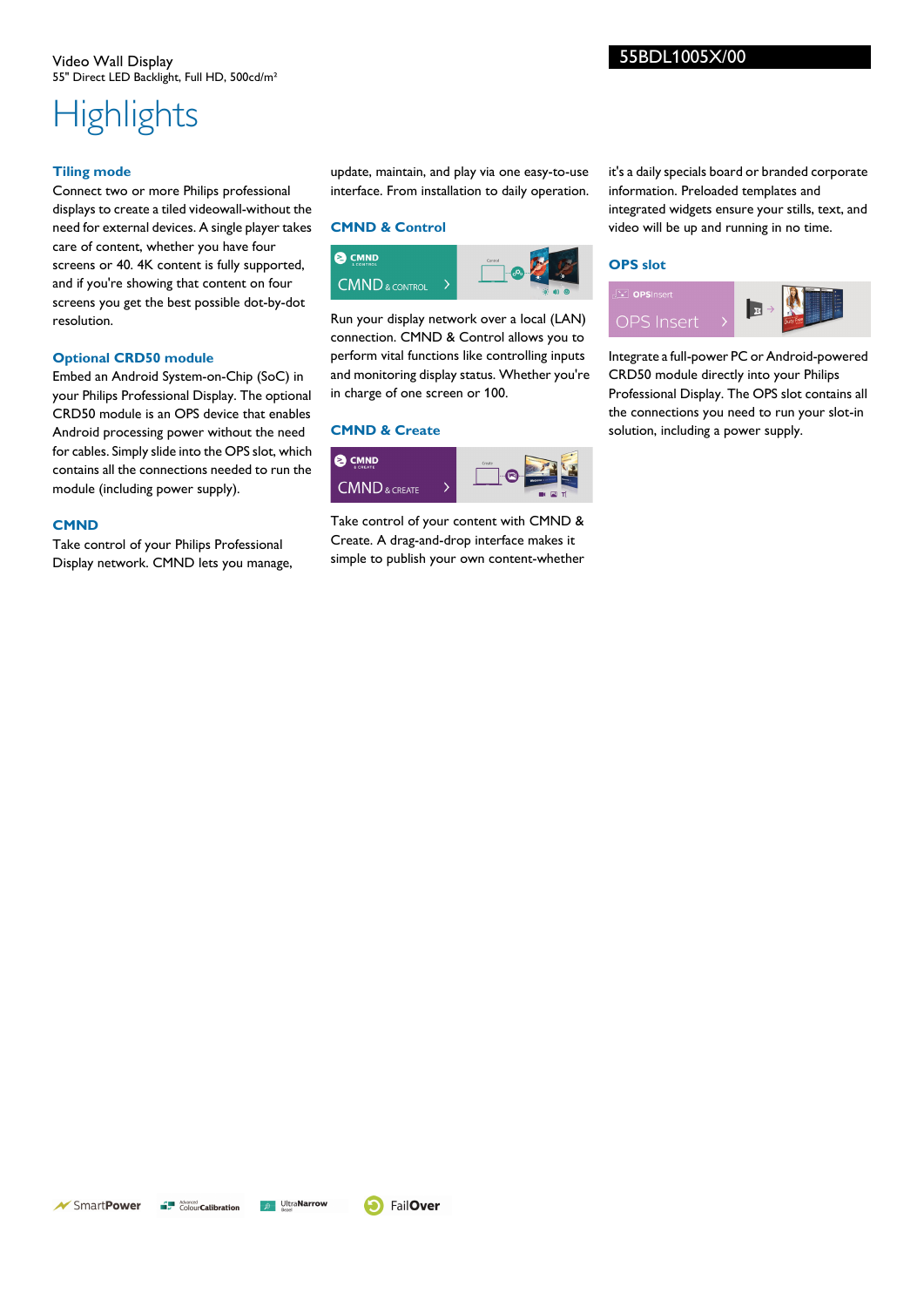### **Highlights**

#### **Tiling mode**

Connect two or more Philips professional displays to create a tiled videowall-without the need for external devices. A single player takes care of content, whether you have four screens or 40. 4K content is fully supported, and if you're showing that content on four screens you get the best possible dot-by-dot resolution.

#### **Optional CRD50 module**

Embed an Android System-on-Chip (SoC) in your Philips Professional Display. The optional CRD50 module is an OPS device that enables Android processing power without the need for cables. Simply slide into the OPS slot, which contains all the connections needed to run the module (including power supply).

#### **CMND**

Take control of your Philips Professional Display network. CMND lets you manage, update, maintain, and play via one easy-to-use interface. From installation to daily operation.

#### **CMND & Control**



Run your display network over a local (LAN) connection. CMND & Control allows you to perform vital functions like controlling inputs and monitoring display status. Whether you're in charge of one screen or 100.

#### **CMND & Create**



Take control of your content with CMND & Create. A drag-and-drop interface makes it simple to publish your own content-whether it's a daily specials board or branded corporate information. Preloaded templates and integrated widgets ensure your stills, text, and video will be up and running in no time.

#### **OPS slot**



Integrate a full-power PC or Android-powered CRD50 module directly into your Philips Professional Display. The OPS slot contains all the connections you need to run your slot-in solution, including a power supply.

**P** Ultra**Narrow**